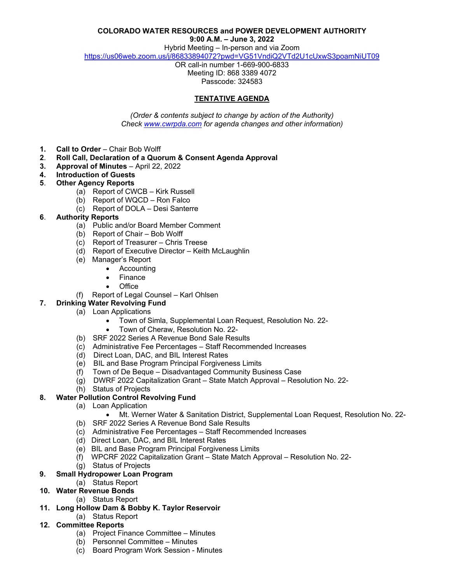### **COLORADO WATER RESOURCES and POWER DEVELOPMENT AUTHORITY**

**9:00 A.M. – June 3, 2022**

Hybrid Meeting – In-person and via Zoom

<https://us06web.zoom.us/j/86833894072?pwd=VG51VndiQ2VTd2U1cUxwS3poamNiUT09>

OR call-in number 1-669-900-6833 Meeting ID: 868 3389 4072 Passcode: 324583

# **TENTATIVE AGENDA**

*(Order & contents subject to change by action of the Authority) Check [www.cwrpda.com](http://www.cwrpda.com/) for agenda changes and other information)*

- **1. Call to Order** Chair Bob Wolff
- **2**. **Roll Call, Declaration of a Quorum & Consent Agenda Approval**
- **3. Approval of Minutes** April 22, 2022
- **4. Introduction of Guests**
- **5**. **Other Agency Reports**
	- (a) Report of CWCB Kirk Russell
	- (b) Report of WQCD Ron Falco
	- (c) Report of DOLA Desi Santerre
- **6**. **Authority Reports**
	- (a) Public and/or Board Member Comment
	- (b) Report of Chair Bob Wolff
	- (c) Report of Treasurer Chris Treese
	- (d) Report of Executive Director Keith McLaughlin
	- (e) Manager's Report
		- Accounting
		- Finance
		- Office
	- (f)Report of Legal Counsel Karl Ohlsen
- **7. Drinking Water Revolving Fund**
	- (a) Loan Applications
		- Town of Simla, Supplemental Loan Request, Resolution No. 22-
		- Town of Cheraw, Resolution No. 22-
		- (b) SRF 2022 Series A Revenue Bond Sale Results
		- (c) Administrative Fee Percentages Staff Recommended Increases
		- (d) Direct Loan, DAC, and BIL Interest Rates
		- (e) BIL and Base Program Principal Forgiveness Limits
		- (f) Town of De Beque Disadvantaged Community Business Case
		- (g) DWRF 2022 Capitalization Grant State Match Approval Resolution No. 22-
		- (h) Status of Projects

# **8. Water Pollution Control Revolving Fund**

- (a) Loan Application
	- Mt. Werner Water & Sanitation District, Supplemental Loan Request, Resolution No. 22-
- (b) SRF 2022 Series A Revenue Bond Sale Results
- (c) Administrative Fee Percentages Staff Recommended Increases
- (d) Direct Loan, DAC, and BIL Interest Rates
- (e) BIL and Base Program Principal Forgiveness Limits
- (f) WPCRF 2022 Capitalization Grant State Match Approval Resolution No. 22-
- (g) Status of Projects
- **9. Small Hydropower Loan Program** 
	- (a) Status Report
- **10. Water Revenue Bonds**
	- (a) Status Report
- **11. Long Hollow Dam & Bobby K. Taylor Reservoir** 
	- (a) Status Report
- **12. Committee Reports**
	- (a) Project Finance Committee Minutes
	- (b) Personnel Committee Minutes
	- (c) Board Program Work Session Minutes